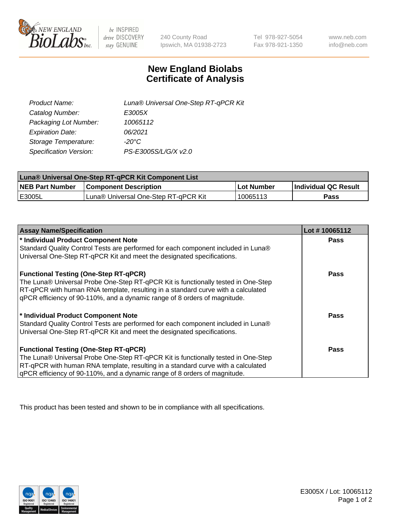

 $be$  INSPIRED drive DISCOVERY stay GENUINE

240 County Road Ipswich, MA 01938-2723 Tel 978-927-5054 Fax 978-921-1350 www.neb.com info@neb.com

## **New England Biolabs Certificate of Analysis**

| Product Name:           | Luna® Universal One-Step RT-qPCR Kit |
|-------------------------|--------------------------------------|
| Catalog Number:         | E3005X                               |
| Packaging Lot Number:   | 10065112                             |
| <b>Expiration Date:</b> | 06/2021                              |
| Storage Temperature:    | $-20^{\circ}$ C                      |
| Specification Version:  | PS-E3005S/L/G/X v2.0                 |

| Luna® Universal One-Step RT-qPCR Kit Component List |                                      |             |                      |  |
|-----------------------------------------------------|--------------------------------------|-------------|----------------------|--|
| <b>NEB Part Number</b>                              | <b>Component Description</b>         | ⊺Lot Number | Individual QC Result |  |
| <b>IE3005L</b>                                      | Luna® Universal One-Step RT-qPCR Kit | 10065113    | <b>Pass</b>          |  |

| <b>Assay Name/Specification</b>                                                   | Lot #10065112 |
|-----------------------------------------------------------------------------------|---------------|
| * Individual Product Component Note                                               | <b>Pass</b>   |
| Standard Quality Control Tests are performed for each component included in Luna® |               |
| Universal One-Step RT-qPCR Kit and meet the designated specifications.            |               |
| <b>Functional Testing (One-Step RT-qPCR)</b>                                      | Pass          |
| The Luna® Universal Probe One-Step RT-qPCR Kit is functionally tested in One-Step |               |
| RT-qPCR with human RNA template, resulting in a standard curve with a calculated  |               |
| qPCR efficiency of 90-110%, and a dynamic range of 8 orders of magnitude.         |               |
| * Individual Product Component Note                                               | Pass          |
| Standard Quality Control Tests are performed for each component included in Luna® |               |
| Universal One-Step RT-qPCR Kit and meet the designated specifications.            |               |
| <b>Functional Testing (One-Step RT-qPCR)</b>                                      | Pass          |
| The Luna® Universal Probe One-Step RT-qPCR Kit is functionally tested in One-Step |               |
| RT-qPCR with human RNA template, resulting in a standard curve with a calculated  |               |
| gPCR efficiency of 90-110%, and a dynamic range of 8 orders of magnitude.         |               |

This product has been tested and shown to be in compliance with all specifications.